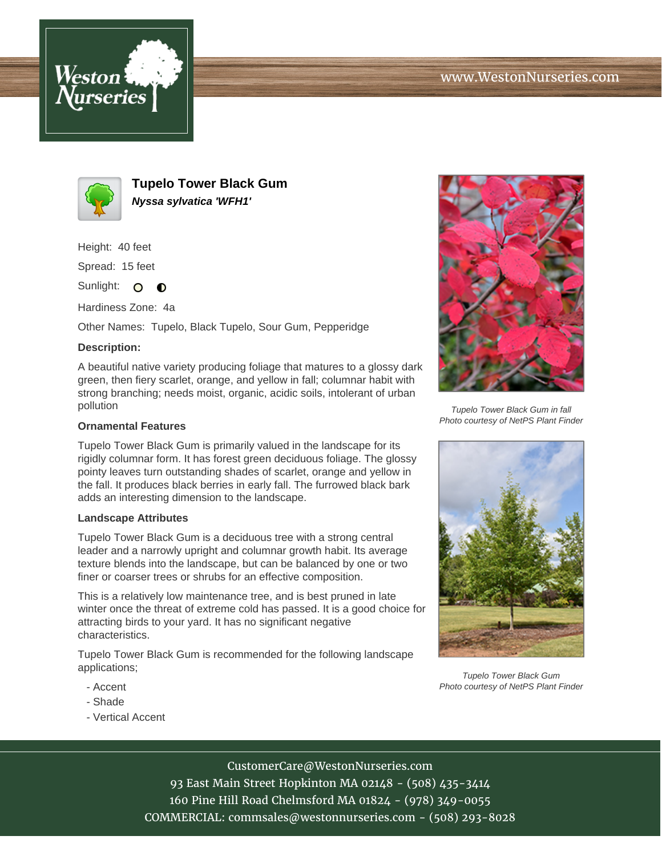



**Tupelo Tower Black Gum Nyssa sylvatica 'WFH1'**

Height: 40 feet

Spread: 15 feet

Sunlight: O  $\bullet$ 

Hardiness Zone: 4a

Other Names: Tupelo, Black Tupelo, Sour Gum, Pepperidge

## **Description:**

A beautiful native variety producing foliage that matures to a glossy dark green, then fiery scarlet, orange, and yellow in fall; columnar habit with strong branching; needs moist, organic, acidic soils, intolerant of urban pollution

## **Ornamental Features**

Tupelo Tower Black Gum is primarily valued in the landscape for its rigidly columnar form. It has forest green deciduous foliage. The glossy pointy leaves turn outstanding shades of scarlet, orange and yellow in the fall. It produces black berries in early fall. The furrowed black bark adds an interesting dimension to the landscape.

## **Landscape Attributes**

Tupelo Tower Black Gum is a deciduous tree with a strong central leader and a narrowly upright and columnar growth habit. Its average texture blends into the landscape, but can be balanced by one or two finer or coarser trees or shrubs for an effective composition.

This is a relatively low maintenance tree, and is best pruned in late winter once the threat of extreme cold has passed. It is a good choice for attracting birds to your yard. It has no significant negative characteristics.

Tupelo Tower Black Gum is recommended for the following landscape applications;

- Accent
- Shade
- Vertical Accent



Tupelo Tower Black Gum in fall Photo courtesy of NetPS Plant Finder



Tupelo Tower Black Gum Photo courtesy of NetPS Plant Finder

CustomerCare@WestonNurseries.com

93 East Main Street Hopkinton MA 02148 - (508) 435-3414 160 Pine Hill Road Chelmsford MA 01824 - (978) 349-0055 COMMERCIAL: commsales@westonnurseries.com - (508) 293-8028